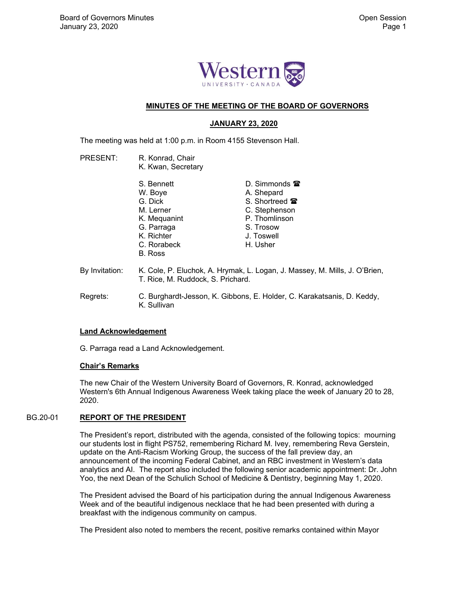

## **MINUTES OF THE MEETING OF THE BOARD OF GOVERNORS**

## **JANUARY 23, 2020**

The meeting was held at 1:00 p.m. in Room 4155 Stevenson Hall.

PRESENT: R. Konrad, Chair K. Kwan, Secretary

|                | S. Bennett                                                                 | D. Simmonds $\mathbf{\mathcal{F}}$ |
|----------------|----------------------------------------------------------------------------|------------------------------------|
|                | W. Boye                                                                    | A. Shepard                         |
|                | G. Dick                                                                    | S. Shortreed <b>雷</b>              |
|                | M. Lerner                                                                  | C. Stephenson                      |
|                | K. Mequanint                                                               | P. Thomlinson                      |
|                | G. Parraga                                                                 | S. Trosow                          |
|                | K. Richter                                                                 | J. Toswell                         |
|                | C. Rorabeck                                                                | H. Usher                           |
|                | B. Ross                                                                    |                                    |
| By Invitation: | K. Cole, P. Eluchok, A. Hrymak, L. Logan, J. Massey, M. Mills, J. O'Brien, |                                    |
|                | T. Rice, M. Ruddock, S. Prichard.                                          |                                    |

 Regrets: C. Burghardt-Jesson, K. Gibbons, E. Holder, C. Karakatsanis, D. Keddy, K. Sullivan

## **Land Acknowledgement**

G. Parraga read a Land Acknowledgement.

## **Chair's Remarks**

 The new Chair of the Western University Board of Governors, R. Konrad, acknowledged Western's 6th Annual Indigenous Awareness Week taking place the week of January 20 to 28, 2020.

## BG.20-01 **REPORT OF THE PRESIDENT**

 The President's report, distributed with the agenda, consisted of the following topics: mourning our students lost in flight PS752, remembering Richard M. Ivey, remembering Reva Gerstein, update on the Anti-Racism Working Group, the success of the fall preview day, an announcement of the incoming Federal Cabinet, and an RBC investment in Western's data analytics and AI. The report also included the following senior academic appointment: Dr. John Yoo, the next Dean of the Schulich School of Medicine & Dentistry, beginning May 1, 2020.

The President advised the Board of his participation during the annual Indigenous Awareness Week and of the beautiful indigenous necklace that he had been presented with during a breakfast with the indigenous community on campus.

The President also noted to members the recent, positive remarks contained within Mayor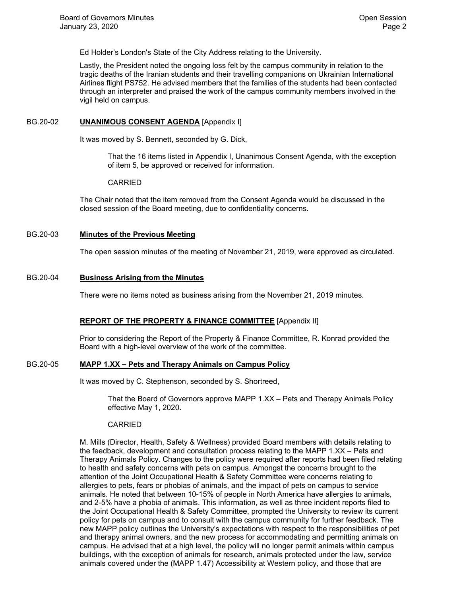Ed Holder's London's State of the City Address relating to the University.

Lastly, the President noted the ongoing loss felt by the campus community in relation to the tragic deaths of the Iranian students and their travelling companions on Ukrainian International Airlines flight PS752. He advised members that the families of the students had been contacted through an interpreter and praised the work of the campus community members involved in the vigil held on campus.

#### BG.20-02 **UNANIMOUS CONSENT AGENDA** [Appendix I]

It was moved by S. Bennett, seconded by G. Dick,

That the 16 items listed in Appendix I, Unanimous Consent Agenda, with the exception of item 5, be approved or received for information.

#### CARRIED

The Chair noted that the item removed from the Consent Agenda would be discussed in the closed session of the Board meeting, due to confidentiality concerns.

## BG.20-03 **Minutes of the Previous Meeting**

The open session minutes of the meeting of November 21, 2019, were approved as circulated.

#### BG.20-04 **Business Arising from the Minutes**

There were no items noted as business arising from the November 21, 2019 minutes.

## **REPORT OF THE PROPERTY & FINANCE COMMITTEE** [Appendix II]

 Prior to considering the Report of the Property & Finance Committee, R. Konrad provided the Board with a high-level overview of the work of the committee.

## BG.20-05 **MAPP 1.XX – Pets and Therapy Animals on Campus Policy**

It was moved by C. Stephenson, seconded by S. Shortreed,

That the Board of Governors approve MAPP 1.XX – Pets and Therapy Animals Policy effective May 1, 2020.

## CARRIED

M. Mills (Director, Health, Safety & Wellness) provided Board members with details relating to the feedback, development and consultation process relating to the MAPP 1.XX – Pets and Therapy Animals Policy. Changes to the policy were required after reports had been filed relating to health and safety concerns with pets on campus. Amongst the concerns brought to the attention of the Joint Occupational Health & Safety Committee were concerns relating to allergies to pets, fears or phobias of animals, and the impact of pets on campus to service animals. He noted that between 10-15% of people in North America have allergies to animals, and 2-5% have a phobia of animals. This information, as well as three incident reports filed to the Joint Occupational Health & Safety Committee, prompted the University to review its current policy for pets on campus and to consult with the campus community for further feedback. The new MAPP policy outlines the University's expectations with respect to the responsibilities of pet and therapy animal owners, and the new process for accommodating and permitting animals on campus. He advised that at a high level, the policy will no longer permit animals within campus buildings, with the exception of animals for research, animals protected under the law, service animals covered under the (MAPP 1.47) Accessibility at Western policy, and those that are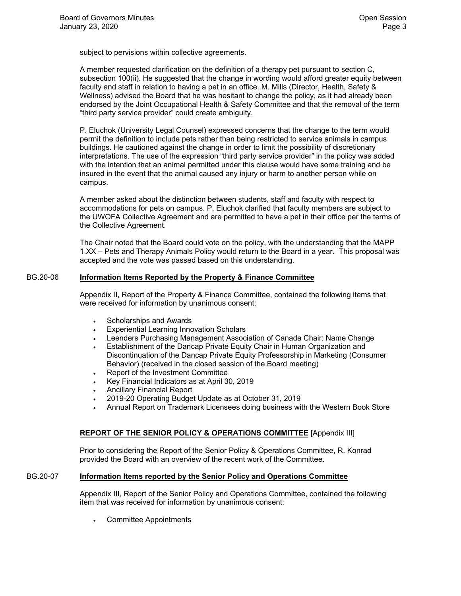subject to pervisions within collective agreements.

A member requested clarification on the definition of a therapy pet pursuant to section C, subsection 100(ii). He suggested that the change in wording would afford greater equity between faculty and staff in relation to having a pet in an office. M. Mills (Director, Health, Safety & Wellness) advised the Board that he was hesitant to change the policy, as it had already been endorsed by the Joint Occupational Health & Safety Committee and that the removal of the term "third party service provider" could create ambiguity.

P. Eluchok (University Legal Counsel) expressed concerns that the change to the term would permit the definition to include pets rather than being restricted to service animals in campus buildings. He cautioned against the change in order to limit the possibility of discretionary interpretations. The use of the expression "third party service provider" in the policy was added with the intention that an animal permitted under this clause would have some training and be insured in the event that the animal caused any injury or harm to another person while on campus.

A member asked about the distinction between students, staff and faculty with respect to accommodations for pets on campus. P. Eluchok clarified that faculty members are subject to the UWOFA Collective Agreement and are permitted to have a pet in their office per the terms of the Collective Agreement.

The Chair noted that the Board could vote on the policy, with the understanding that the MAPP 1.XX – Pets and Therapy Animals Policy would return to the Board in a year. This proposal was accepted and the vote was passed based on this understanding.

## BG.20-06 **Information Items Reported by the Property & Finance Committee**

 Appendix II, Report of the Property & Finance Committee, contained the following items that were received for information by unanimous consent:

- Scholarships and Awards
- Experiential Learning Innovation Scholars
- Leenders Purchasing Management Association of Canada Chair: Name Change
- Establishment of the Dancap Private Equity Chair in Human Organization and Discontinuation of the Dancap Private Equity Professorship in Marketing (Consumer Behavior) (received in the closed session of the Board meeting)
- Report of the Investment Committee
- Key Financial Indicators as at April 30, 2019
- Ancillary Financial Report
- 2019-20 Operating Budget Update as at October 31, 2019
- Annual Report on Trademark Licensees doing business with the Western Book Store

## **REPORT OF THE SENIOR POLICY & OPERATIONS COMMITTEE** [Appendix III]

 Prior to considering the Report of the Senior Policy & Operations Committee, R. Konrad provided the Board with an overview of the recent work of the Committee.

#### BG.20-07 **Information Items reported by the Senior Policy and Operations Committee**

 Appendix III, Report of the Senior Policy and Operations Committee, contained the following item that was received for information by unanimous consent:

Committee Appointments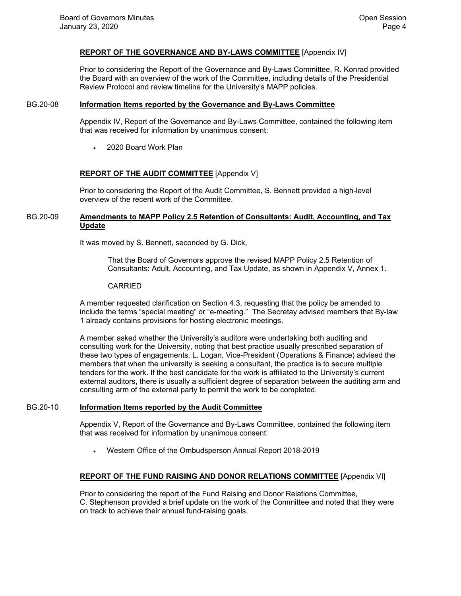## **REPORT OF THE GOVERNANCE AND BY-LAWS COMMITTEE** [Appendix IV]

 Prior to considering the Report of the Governance and By-Laws Committee, R. Konrad provided the Board with an overview of the work of the Committee, including details of the Presidential Review Protocol and review timeline for the University's MAPP policies.

#### BG.20-08 **Information Items reported by the Governance and By-Laws Committee**

 Appendix IV, Report of the Governance and By-Laws Committee, contained the following item that was received for information by unanimous consent:

2020 Board Work Plan

## **REPORT OF THE AUDIT COMMITTEE** [Appendix V]

 Prior to considering the Report of the Audit Committee, S. Bennett provided a high-level overview of the recent work of the Committee.

### BG.20-09 **Amendments to MAPP Policy 2.5 Retention of Consultants: Audit, Accounting, and Tax Update**

It was moved by S. Bennett, seconded by G. Dick,

That the Board of Governors approve the revised MAPP Policy 2.5 Retention of Consultants: Adult, Accounting, and Tax Update, as shown in Appendix V, Annex 1.

#### CARRIED

A member requested clarification on Section 4.3, requesting that the policy be amended to include the terms "special meeting" or "e-meeting." The Secretay advised members that By-law 1 already contains provisions for hosting electronic meetings.

A member asked whether the University's auditors were undertaking both auditing and consulting work for the University, noting that best practice usually prescribed separation of these two types of engagements. L. Logan, Vice-President (Operations & Finance) advised the members that when the university is seeking a consultant, the practice is to secure multiple tenders for the work. If the best candidate for the work is affiliated to the University's current external auditors, there is usually a sufficient degree of separation between the auditing arm and consulting arm of the external party to permit the work to be completed.

## BG.20-10 **Information Items reported by the Audit Committee**

 Appendix V, Report of the Governance and By-Laws Committee, contained the following item that was received for information by unanimous consent:

Western Office of the Ombudsperson Annual Report 2018-2019

## **REPORT OF THE FUND RAISING AND DONOR RELATIONS COMMITTEE** [Appendix VI]

 Prior to considering the report of the Fund Raising and Donor Relations Committee, C. Stephenson provided a brief update on the work of the Committee and noted that they were on track to achieve their annual fund-raising goals.